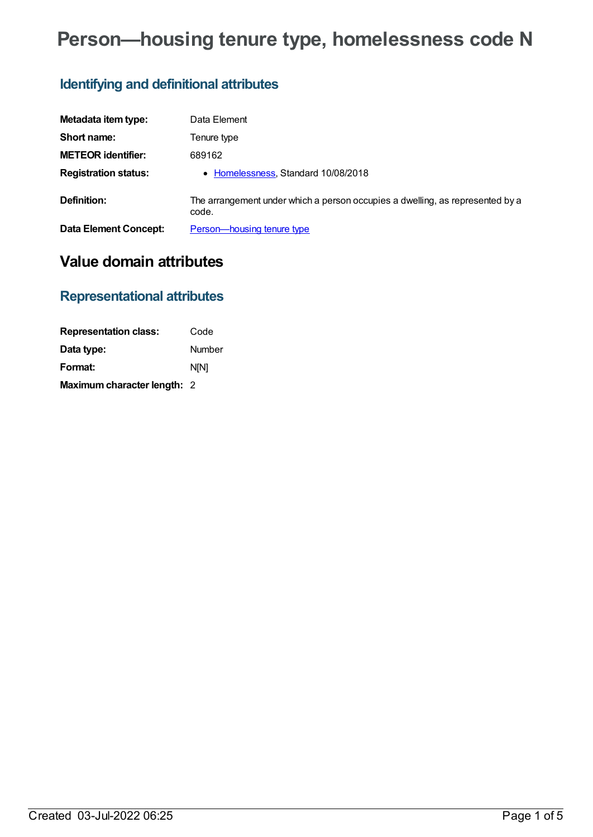# **Person—housing tenure type, homelessness code N**

## **Identifying and definitional attributes**

| Metadata item type:          | Data Element                                                                           |
|------------------------------|----------------------------------------------------------------------------------------|
| Short name:                  | Tenure type                                                                            |
| <b>METEOR identifier:</b>    | 689162                                                                                 |
| <b>Registration status:</b>  | • Homelessness, Standard 10/08/2018                                                    |
| Definition:                  | The arrangement under which a person occupies a dwelling, as represented by a<br>code. |
| <b>Data Element Concept:</b> | Person-housing tenure type                                                             |

## **Value domain attributes**

## **Representational attributes**

| <b>Representation class:</b> | Code        |
|------------------------------|-------------|
| Data type:                   | Number      |
| Format:                      | <b>N[N]</b> |
| Maximum character length: 2  |             |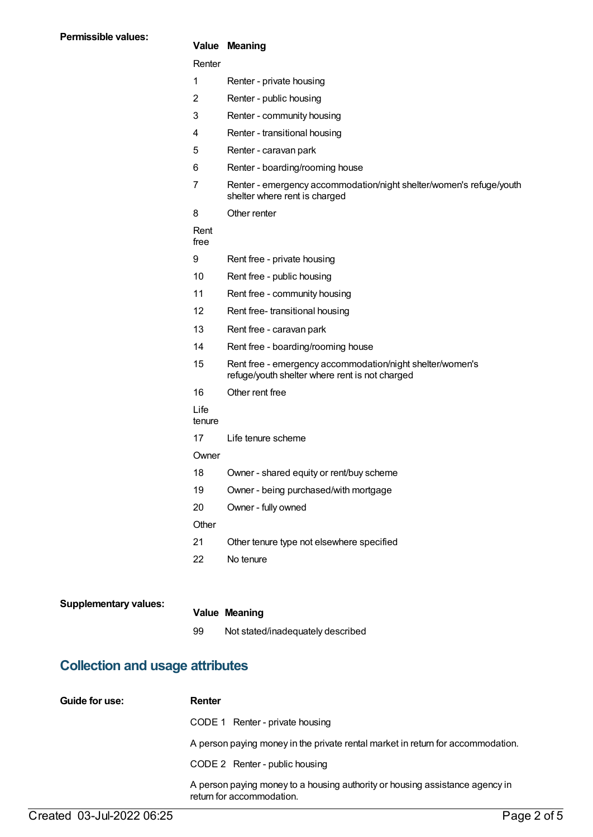#### **Value Meaning**

#### Renter

|  | Renter - private housing |  |
|--|--------------------------|--|
|--|--------------------------|--|

- 2 Renter public housing
- 3 Renter community housing
- 4 Renter transitional housing
- 5 Renter caravan park
- 6 Renter boarding/rooming house
- 7 Renter emergency accommodation/night shelter/women's refuge/youth shelter where rent is charged
- 8 Other renter

#### Rent

free

- 9 Rent free private housing
- 10 Rent free public housing
- 11 Rent free community housing
- 12 Rent free- transitional housing
- 13 Rent free caravan park
- 14 Rent free boarding/rooming house
- 15 Rent free emergency accommodation/night shelter/women's refuge/youth shelter where rent is not charged
- 16 Other rent free
- Life
- tenure
- 17 Life tenure scheme
- **Owner**
- 18 Owner shared equity or rent/buy scheme
- 19 Owner being purchased/with mortgage
- 20 Owner fully owned

**Other** 

- 21 Other tenure type not elsewhere specified
- 22 No tenure

| <b>Supplementary values:</b> |    | <b>Value Meaning</b>              |
|------------------------------|----|-----------------------------------|
|                              | 99 | Not stated/inadequately described |

### **Collection and usage attributes**

| Guide for use: | Renter                                                                                                    |
|----------------|-----------------------------------------------------------------------------------------------------------|
|                | CODE 1 Renter - private housing                                                                           |
|                | A person paying money in the private rental market in return for accommodation.                           |
|                | CODE 2 Renter - public housing                                                                            |
|                | A person paying money to a housing authority or housing assistance agency in<br>return for accommodation. |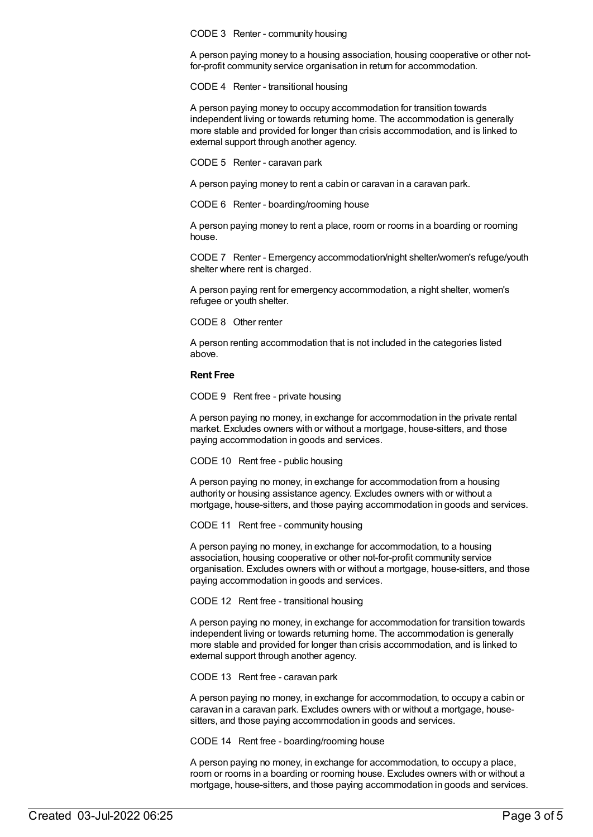CODE 3 Renter - community housing

A person paying money to a housing association, housing cooperative or other notfor-profit community service organisation in return for accommodation.

CODE 4 Renter - transitional housing

A person paying money to occupy accommodation for transition towards independent living or towards returning home. The accommodation is generally more stable and provided for longer than crisis accommodation, and is linked to external support through another agency.

CODE 5 Renter - caravan park

A person paying money to rent a cabin or caravan in a caravan park.

CODE 6 Renter - boarding/rooming house

A person paying money to rent a place, room or rooms in a boarding or rooming house.

CODE 7 Renter - Emergency accommodation/night shelter/women's refuge/youth shelter where rent is charged.

A person paying rent for emergency accommodation, a night shelter, women's refugee or youth shelter.

CODE 8 Other renter

A person renting accommodation that is not included in the categories listed above.

#### **Rent Free**

CODE 9 Rent free - private housing

A person paying no money, in exchange for accommodation in the private rental market. Excludes owners with or without a mortgage, house-sitters, and those paying accommodation in goods and services.

CODE 10 Rent free - public housing

A person paying no money, in exchange for accommodation from a housing authority or housing assistance agency. Excludes owners with or without a mortgage, house-sitters, and those paying accommodation in goods and services.

CODE 11 Rent free - community housing

A person paying no money, in exchange for accommodation, to a housing association, housing cooperative or other not-for-profit community service organisation. Excludes owners with or without a mortgage, house-sitters, and those paying accommodation in goods and services.

CODE 12 Rent free - transitional housing

A person paying no money, in exchange for accommodation for transition towards independent living or towards returning home. The accommodation is generally more stable and provided for longer than crisis accommodation, and is linked to external support through another agency.

CODE 13 Rent free - caravan park

A person paying no money, in exchange for accommodation, to occupy a cabin or caravan in a caravan park. Excludes owners with or without a mortgage, housesitters, and those paying accommodation in goods and services.

CODE 14 Rent free - boarding/rooming house

A person paying no money, in exchange for accommodation, to occupy a place, room or rooms in a boarding or rooming house. Excludes owners with or without a mortgage, house-sitters, and those paying accommodation in goods and services.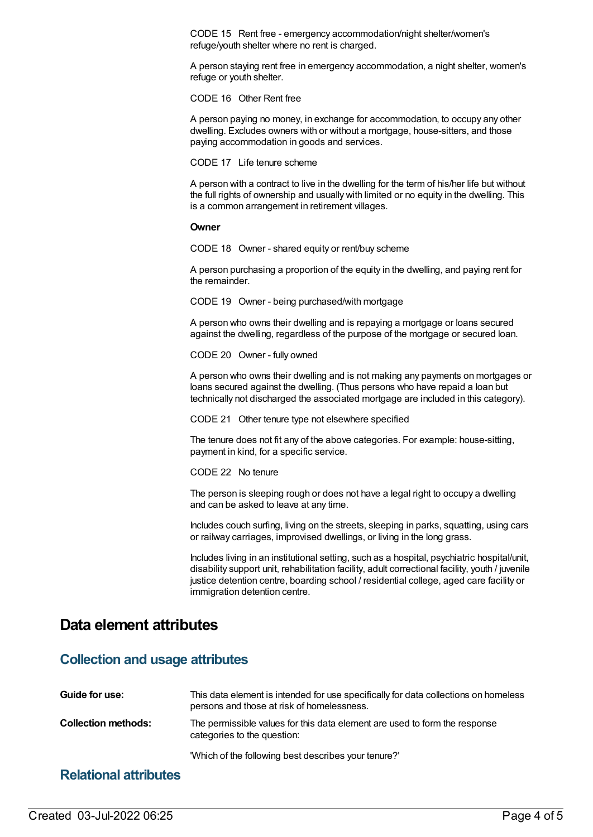CODE 15 Rent free - emergency accommodation/night shelter/women's refuge/youth shelter where no rent is charged.

A person staying rent free in emergency accommodation, a night shelter, women's refuge or youth shelter.

CODE 16 Other Rent free

A person paying no money, in exchange for accommodation, to occupy any other dwelling. Excludes owners with or without a mortgage, house-sitters, and those paying accommodation in goods and services.

CODE 17 Life tenure scheme

A person with a contract to live in the dwelling for the term of his/her life but without the full rights of ownership and usually with limited or no equity in the dwelling. This is a common arrangement in retirement villages.

#### **Owner**

CODE 18 Owner - shared equity or rent/buy scheme

A person purchasing a proportion of the equity in the dwelling, and paying rent for the remainder.

CODE 19 Owner - being purchased/with mortgage

A person who owns their dwelling and is repaying a mortgage or loans secured against the dwelling, regardless of the purpose of the mortgage or secured loan.

CODE 20 Owner - fully owned

A person who owns their dwelling and is not making any payments on mortgages or loans secured against the dwelling. (Thus persons who have repaid a loan but technically not discharged the associated mortgage are included in this category).

CODE 21 Other tenure type not elsewhere specified

The tenure does not fit any of the above categories. For example: house-sitting, payment in kind, for a specific service.

CODE 22 No tenure

The person is sleeping rough or does not have a legal right to occupy a dwelling and can be asked to leave at any time.

Includes couch surfing, living on the streets, sleeping in parks, squatting, using cars or railway carriages, improvised dwellings, or living in the long grass.

Includes living in an institutional setting, such as a hospital, psychiatric hospital/unit, disability support unit, rehabilitation facility, adult correctional facility, youth / juvenile justice detention centre, boarding school / residential college, aged care facility or immigration detention centre.

## **Data element attributes**

### **Collection and usage attributes**

| Guide for use:             | This data element is intended for use specifically for data collections on homeless<br>persons and those at risk of homelessness. |
|----------------------------|-----------------------------------------------------------------------------------------------------------------------------------|
| <b>Collection methods:</b> | The permissible values for this data element are used to form the response<br>categories to the question:                         |
|                            | "Which of the following best describes your tenure?"                                                                              |

### **Relational attributes**